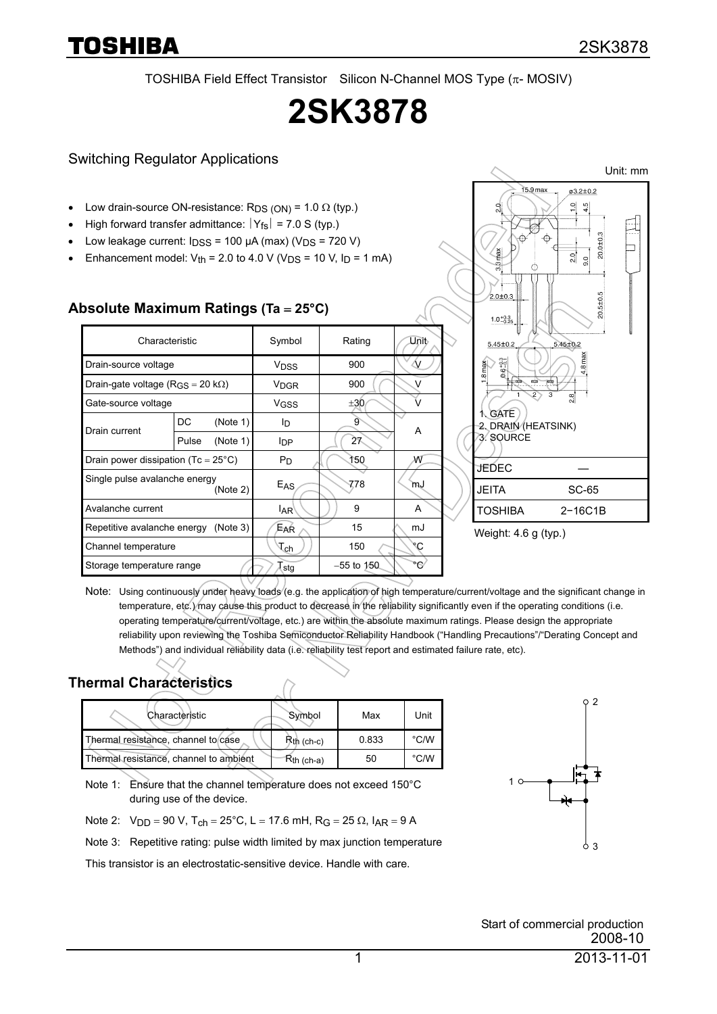TOSHIBA Field Effect Transistor Silicon N-Channel MOS Type (π- MOSIV)

# **2SK3878**

#### Switching Regulator Applications

- Low drain-source ON-resistance:  $R_{DS (ON)} = 1.0 \Omega$  (typ.)
- High forward transfer admittance:  $|Y_{fs}| = 7.0$  S (typ.)
- Low leakage current:  $I_{DSS}$  = 100  $\mu$ A (max) (V<sub>DS</sub> = 720 V)
- Enhancement model:  $V_{th}$  = 2.0 to 4.0 V ( $V_{DS}$  = 10 V,  $I_D$  = 1 mA)

| 0001010 MAAMININ RAMINGO (10 – 20 O)          |       |                              |               |               |   |  |
|-----------------------------------------------|-------|------------------------------|---------------|---------------|---|--|
| Characteristic                                |       | Symbol                       | Rating        | Unit          |   |  |
| Drain-source voltage                          |       | <b>V<sub>DSS</sub></b>       | 900           | $\mathcal{N}$ |   |  |
| Drain-gate voltage (R <sub>GS</sub> = 20 kΩ)  |       | <b>V<sub>DGR</sub></b>       | 900           | v             |   |  |
| Gate-source voltage                           |       | V <sub>GSS</sub>             | ±30           |               |   |  |
| Drain current                                 | DC    | (Note 1)                     | lD.           | 9             | A |  |
|                                               | Pulse | (Note 1)                     | <b>I</b> DP   | 27            |   |  |
| Drain power dissipation (Tc = $25^{\circ}$ C) |       | $P_D$                        | 150           | W             |   |  |
| Single pulse avalanche energy<br>(Note 2)     |       | E <sub>AS</sub>              | 778           | mJ            |   |  |
| Avalanche current                             |       | <sup>I</sup> AR <sup>\</sup> | 9             | A             |   |  |
| Repetitive avalanche energy<br>(Note 3)       |       | Ear                          | 15            | mJ            |   |  |
| Channel temperature                           |       | $\tau_{\mathsf{ch}}$         | 150           | ۹C            |   |  |
| Storage temperature range                     |       | (stg                         | $-55$ to 150. | ۰G            |   |  |

#### **Absolute Maximum Ratings (Ta** = **25°C)**



Weight: 4.6 g (typ.)

Note: Using continuously under heavy loads (e.g. the application of high temperature/current/voltage and the significant change in temperature, etc.) may cause this product to decrease in the reliability significantly even if the operating conditions (i.e. operating temperature/current/voltage, etc.) are within the absolute maximum ratings. Please design the appropriate reliability upon reviewing the Toshiba Semiconductor Reliability Handbook ("Handling Precautions"/"Derating Concept and Methods") and individual reliability data (i.e. reliability test report and estimated failure rate, etc).

#### **Thermal Characteristics**

| Characteristic                         | Symbol          | Max   | Unit           |
|----------------------------------------|-----------------|-------|----------------|
| Thermal resistance, channel to case    | $Rth$ (ch-c)    | 0.833 | $^{\circ}$ C/W |
| Thermal resistance, channel to ambient | $R_{th}$ (ch-a) | 50    | $^{\circ}$ C/W |

Note 1: Ensure that the channel temperature does not exceed 150°C during use of the device.

Note 2:  $V_{DD} = 90 V$ , T<sub>ch</sub> = 25°C, L = 17.6 mH, R<sub>G</sub> = 25 Ω, I<sub>AR</sub> = 9 A

Note 3: Repetitive rating: pulse width limited by max junction temperature

This transistor is an electrostatic-sensitive device. Handle with care.



Start of commercial production 2008-10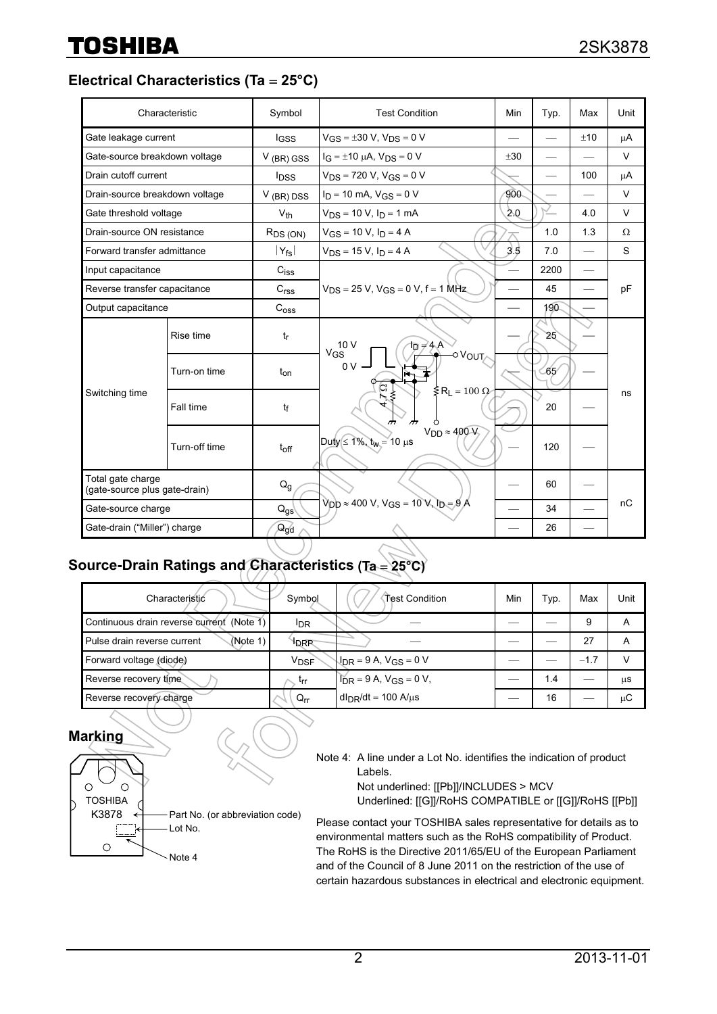**Electrical Characteristics (Ta** = **25°C)** 

|                                                    | Characteristic | Symbol                   | <b>Test Condition</b>                                                          | Min     | Typ. | Max | Unit   |
|----------------------------------------------------|----------------|--------------------------|--------------------------------------------------------------------------------|---------|------|-----|--------|
| Gate leakage current                               |                | <b>IGSS</b>              | $V_{GS} = \pm 30$ V, $V_{DS} = 0$ V                                            |         |      | ±10 | μA     |
| Gate-source breakdown voltage                      |                | $V$ (BR) GSS             | $I_G = \pm 10 \mu A$ , $V_{DS} = 0 V$                                          | $+30$   |      |     | $\vee$ |
| Drain cutoff current                               |                | <b>I</b> <sub>DSS</sub>  | $V_{DS}$ = 720 V, V <sub>GS</sub> = 0 V                                        |         |      | 100 | μA     |
| Drain-source breakdown voltage                     |                | $V$ (BR) DSS             | $I_D = 10$ mA, $V_{GS} = 0$ V                                                  | $900 -$ |      |     | $\vee$ |
| Gate threshold voltage                             |                | $V_{th}$                 | $V_{DS}$ = 10 V, $I_D$ = 1 mA                                                  | 2.0     |      | 4.0 | V      |
| Drain-source ON resistance                         |                | $R_{DS(ON)}$             | $V_{GS}$ = 10 V, $I_D$ = 4 A                                                   |         | 1.0  | 1.3 | Ω      |
| Forward transfer admittance                        |                | $ Y_{fs} $               | $V_{DS} = 15 V$ , $I_D = 4 A$                                                  | 3.5     | 7.0  |     | S      |
| Input capacitance                                  |                | $C_{iss}$                |                                                                                |         | 2200 |     |        |
| Reverse transfer capacitance                       |                | C <sub>rss</sub>         | $V_{DS}$ = 25 V, $V_{GS}$ = 0 V, f = 1 MHz                                     |         | 45   |     | pF     |
| Output capacitance                                 |                | C <sub>oss</sub>         |                                                                                |         | 190  |     |        |
| Switching time                                     | Rise time      | $t_{\sf f}$              | $V_{GS}$ <sup>10</sup> V<br>†թ <i>≓</i> 4∖A`                                   |         | 25   |     |        |
|                                                    | Turn-on time   | $t_{on}$                 | OV <sub>OUT</sub><br>$0V -$<br>G                                               |         | ර65⁄ |     | ns     |
|                                                    | Fall time      | tf                       | $\leq$ R <sub>L</sub> = 100 $\Omega$<br>⋋≶<br>ሖ<br>$\overline{\phantom{a}}$    |         | 20   |     |        |
|                                                    | Turn-off time  | $t_{off}$                | $V_{DD} \approx 400-V_2$<br>$Duty \le 1\%$ , $t_W = 10 \mu s$                  |         | 120  |     |        |
| Total gate charge<br>(gate-source plus gate-drain) |                | Q <sub>g</sub>           |                                                                                |         | 60   |     |        |
| Gate-source charge                                 |                | $\mathsf{Q}_{\text{gs}}$ | $V_{DD} \approx 400 \text{ V}$ , $V_{GS} = 10 \text{ V}$ , $I_D = 9 \text{ A}$ |         | 34   |     | nC     |
| Gate-drain ("Miller") charge                       |                | $Q_{gd}$                 |                                                                                |         | 26   |     |        |

## Source-Drain Ratings and Characteristics (Ta = 25

| Characteristic                            | Symbol          | Test Condition                               | Min | Typ. | Max    | Unit |
|-------------------------------------------|-----------------|----------------------------------------------|-----|------|--------|------|
| Continuous drain reverse current (Note 1) | <sup>I</sup> DR |                                              |     |      |        | А    |
| Pulse drain reverse current<br>(Note 1)   | ldrie           |                                              |     |      | 27     | А    |
| Forward voltage (diode)                   | <b>VDSF</b>     | $ADR = 9 A, V_{GS} = 0 V$                    |     |      | $-1.7$ | v    |
| Reverse recovery time                     | Irr             | $\overline{I}_{DR} = 9 A$ , $V_{GS} = 0 V$ , |     | 1.4  |        | μS   |
| Reverse recovery charge                   | $Q_{rr}$        | $d_{DR}/dt = 100$ A/ $\mu$ s                 |     | 16   |        | μC   |

**Marking** 



Note 4: A line under a Lot No. identifies the indication of product Labels.

Not underlined: [[Pb]]/INCLUDES > MCV Underlined: [[G]]/RoHS COMPATIBLE or [[G]]/RoHS [[Pb]]

Please contact your TOSHIBA sales representative for details as to environmental matters such as the RoHS compatibility of Product. The RoHS is the Directive 2011/65/EU of the European Parliament and of the Council of 8 June 2011 on the restriction of the use of certain hazardous substances in electrical and electronic equipment.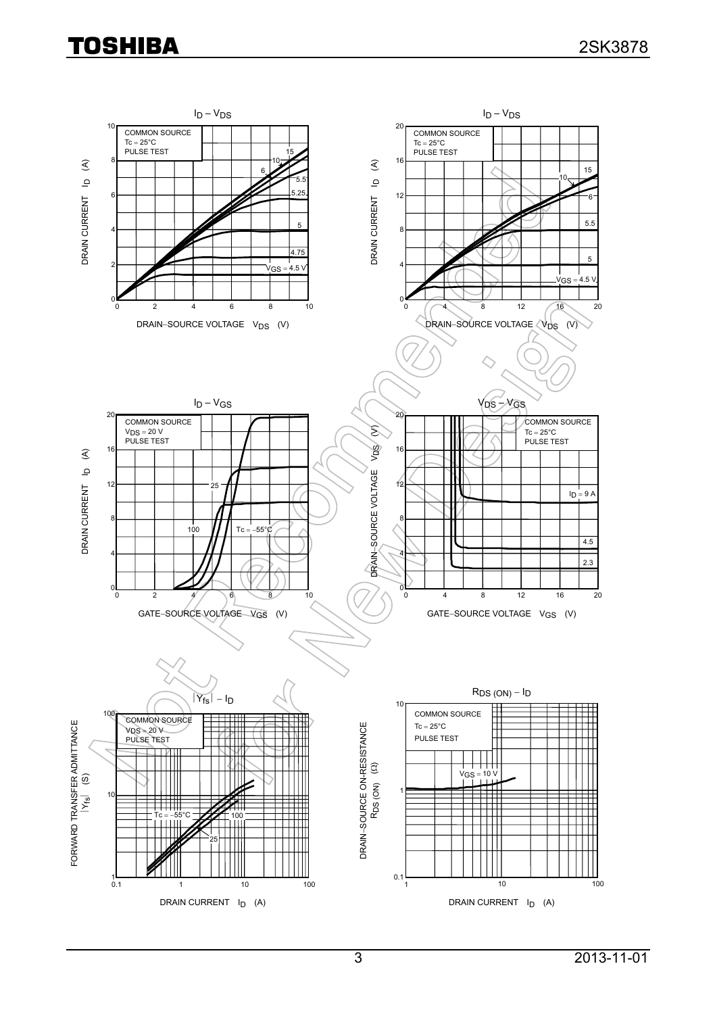# **TOSHIBA**

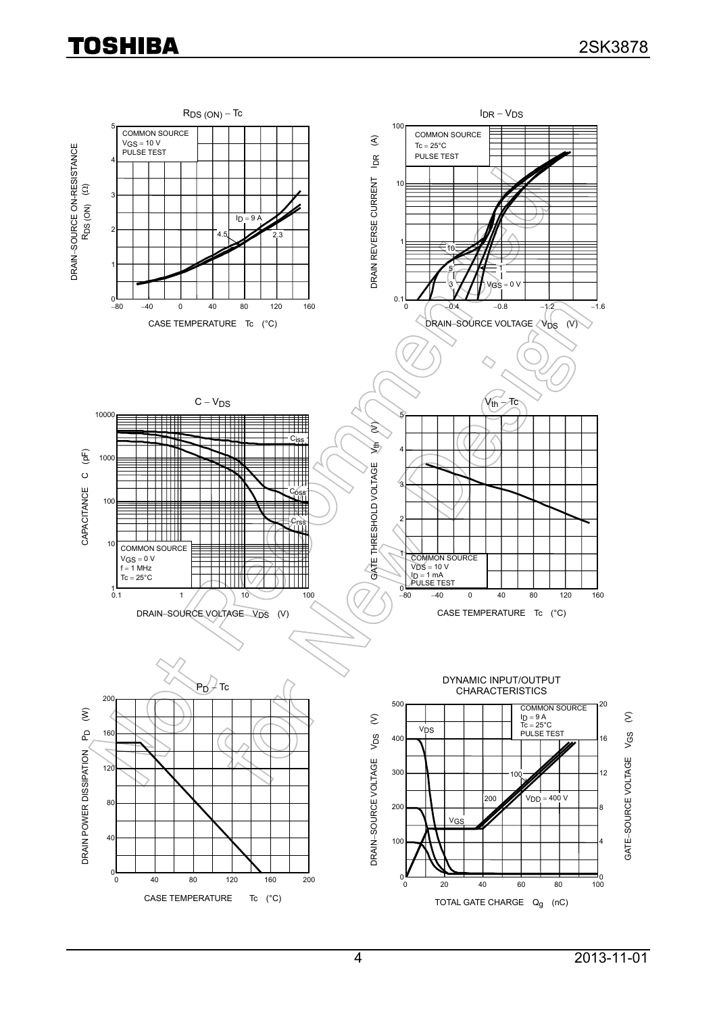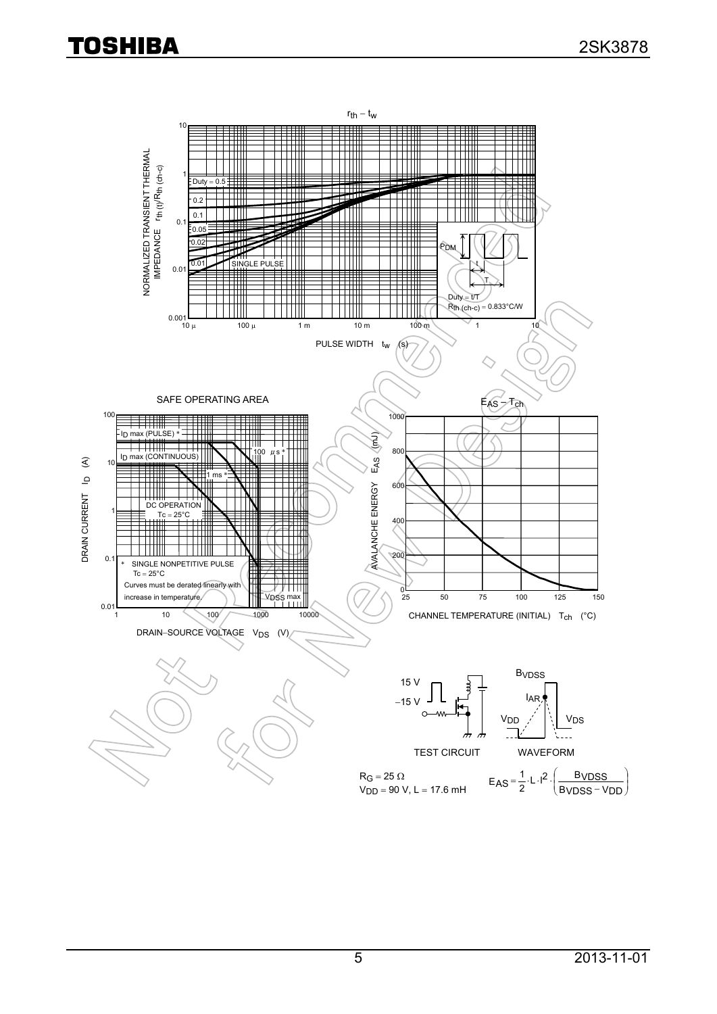